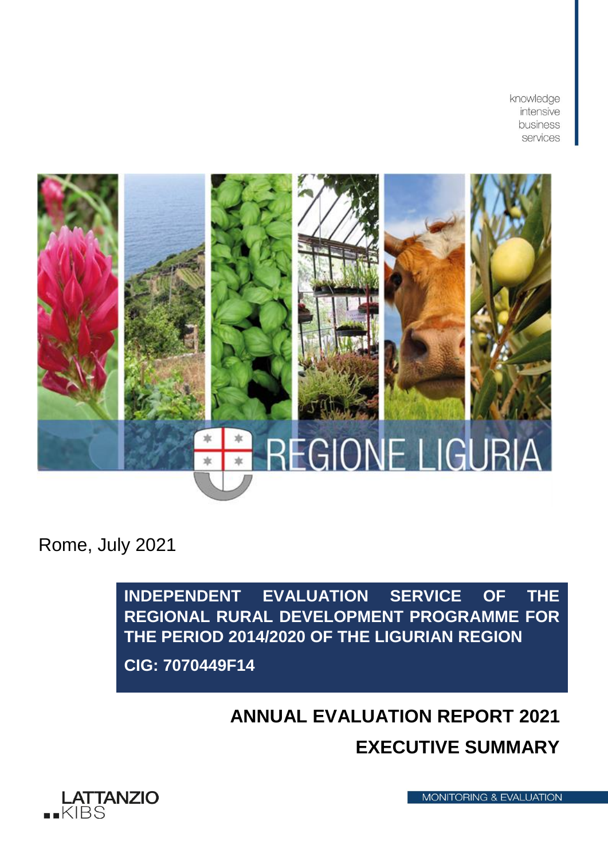knowledge intensive business services



Rome, July 2021

**INDEPENDENT EVALUATION SERVICE OF THE REGIONAL RURAL DEVELOPMENT PROGRAMME FOR THE PERIOD 2014/2020 OF THE LIGURIAN REGION CIG: 7070449F14**

# **ANNUAL EVALUATION REPORT 2021 EXECUTIVE SUMMARY**



**MONITORING & EVALUATION**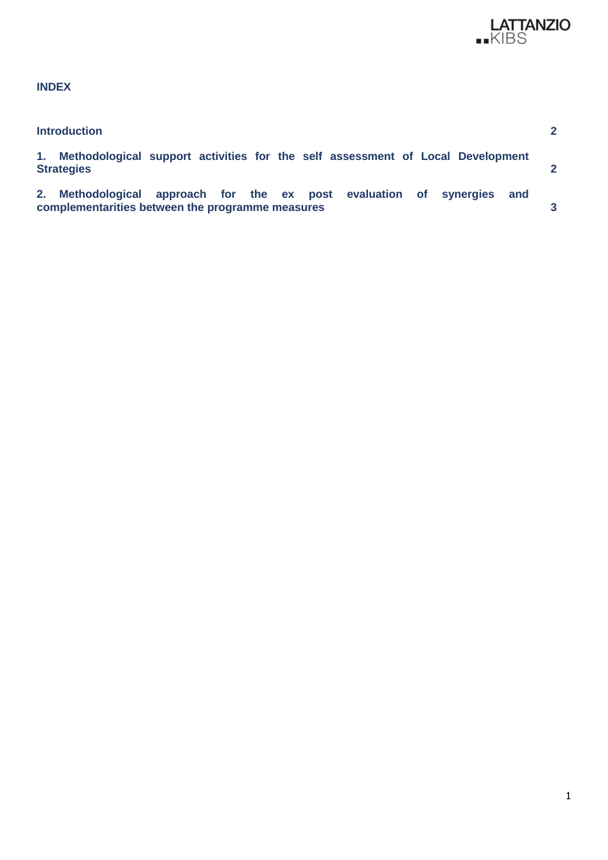

# **INDEX**

| <b>Introduction</b> |                                                  |                                                                                   |  |
|---------------------|--------------------------------------------------|-----------------------------------------------------------------------------------|--|
| <b>Strategies</b>   |                                                  | 1. Methodological support activities for the self assessment of Local Development |  |
|                     | complementarities between the programme measures | 2. Methodological approach for the ex post evaluation of synergies and            |  |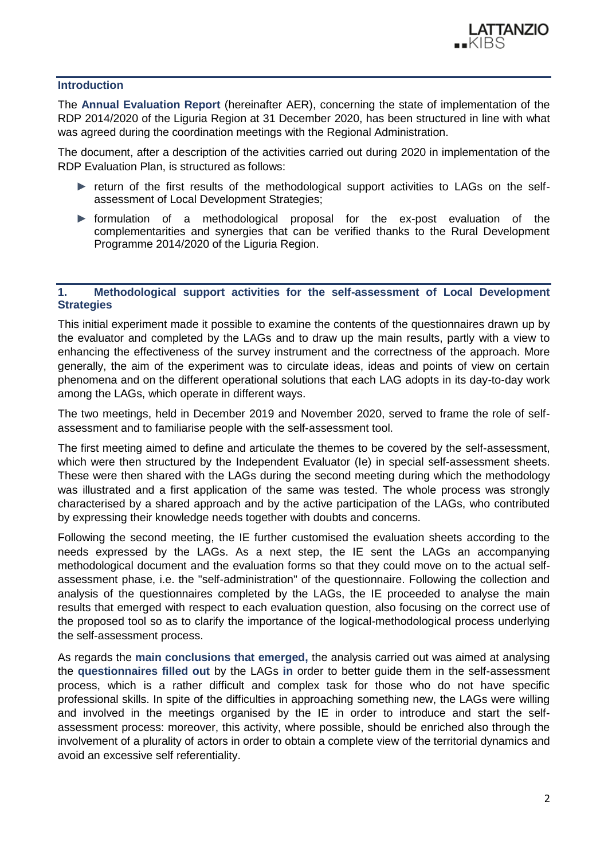

#### <span id="page-2-0"></span>**Introduction**

The **Annual Evaluation Report** (hereinafter AER), concerning the state of implementation of the RDP 2014/2020 of the Liguria Region at 31 December 2020, has been structured in line with what was agreed during the coordination meetings with the Regional Administration.

The document, after a description of the activities carried out during 2020 in implementation of the RDP Evaluation Plan, is structured as follows:

- ► return of the first results of the methodological support activities to LAGs on the selfassessment of Local Development Strategies;
- ► formulation of a methodological proposal for the ex-post evaluation of the complementarities and synergies that can be verified thanks to the Rural Development Programme 2014/2020 of the Liguria Region.

## <span id="page-2-1"></span>**1. Methodological support activities for the self-assessment of Local Development Strategies**

This initial experiment made it possible to examine the contents of the questionnaires drawn up by the evaluator and completed by the LAGs and to draw up the main results, partly with a view to enhancing the effectiveness of the survey instrument and the correctness of the approach. More generally, the aim of the experiment was to circulate ideas, ideas and points of view on certain phenomena and on the different operational solutions that each LAG adopts in its day-to-day work among the LAGs, which operate in different ways.

The two meetings, held in December 2019 and November 2020, served to frame the role of selfassessment and to familiarise people with the self-assessment tool.

The first meeting aimed to define and articulate the themes to be covered by the self-assessment, which were then structured by the Independent Evaluator (Ie) in special self-assessment sheets. These were then shared with the LAGs during the second meeting during which the methodology was illustrated and a first application of the same was tested. The whole process was strongly characterised by a shared approach and by the active participation of the LAGs, who contributed by expressing their knowledge needs together with doubts and concerns.

Following the second meeting, the IE further customised the evaluation sheets according to the needs expressed by the LAGs. As a next step, the IE sent the LAGs an accompanying methodological document and the evaluation forms so that they could move on to the actual selfassessment phase, i.e. the "self-administration" of the questionnaire. Following the collection and analysis of the questionnaires completed by the LAGs, the IE proceeded to analyse the main results that emerged with respect to each evaluation question, also focusing on the correct use of the proposed tool so as to clarify the importance of the logical-methodological process underlying the self-assessment process.

As regards the **main conclusions that emerged,** the analysis carried out was aimed at analysing the **questionnaires filled out** by the LAGs **in** order to better guide them in the self-assessment process, which is a rather difficult and complex task for those who do not have specific professional skills. In spite of the difficulties in approaching something new, the LAGs were willing and involved in the meetings organised by the IE in order to introduce and start the selfassessment process: moreover, this activity, where possible, should be enriched also through the involvement of a plurality of actors in order to obtain a complete view of the territorial dynamics and avoid an excessive self referentiality.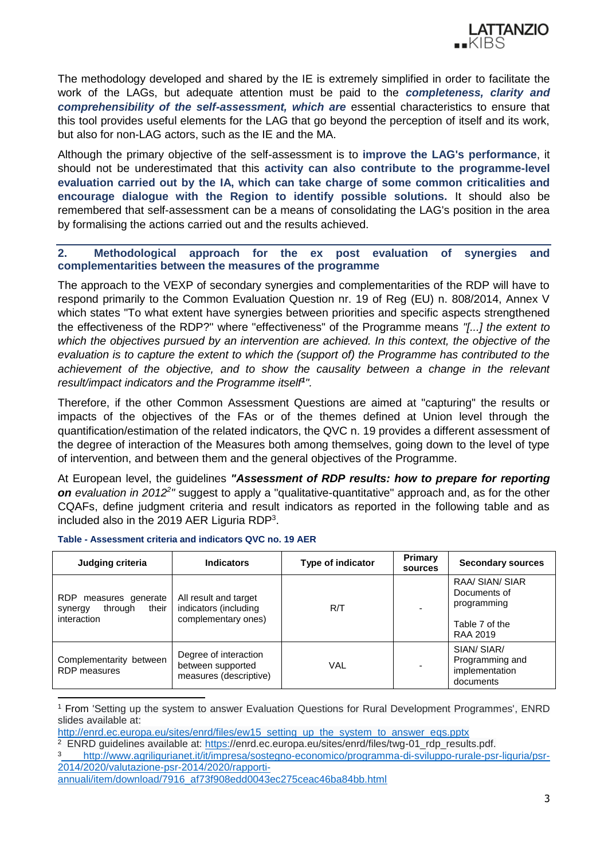

The methodology developed and shared by the IE is extremely simplified in order to facilitate the work of the LAGs, but adequate attention must be paid to the *completeness, clarity and comprehensibility of the self-assessment, which are* essential characteristics to ensure that this tool provides useful elements for the LAG that go beyond the perception of itself and its work, but also for non-LAG actors, such as the IE and the MA.

Although the primary objective of the self-assessment is to **improve the LAG's performance**, it should not be underestimated that this **activity can also contribute to the programme-level evaluation carried out by the IA, which can take charge of some common criticalities and encourage dialogue with the Region to identify possible solutions.** It should also be remembered that self-assessment can be a means of consolidating the LAG's position in the area by formalising the actions carried out and the results achieved.

## <span id="page-3-0"></span>**2. Methodological approach for the ex post evaluation of synergies and complementarities between the measures of the programme**

The approach to the VEXP of secondary synergies and complementarities of the RDP will have to respond primarily to the Common Evaluation Question nr. 19 of Reg (EU) n. 808/2014, Annex V which states "To what extent have synergies between priorities and specific aspects strengthened the effectiveness of the RDP?" where "effectiveness" of the Programme means *"[...] the extent to*  which the objectives pursued by an intervention are achieved. In this context, the objective of the *evaluation is to capture the extent to which the (support of) the Programme has contributed to the achievement of the objective, and to show the causality between a change in the relevant result/impact indicators and the Programme itself<sup>1</sup> ".*

Therefore, if the other Common Assessment Questions are aimed at "capturing" the results or impacts of the objectives of the FAs or of the themes defined at Union level through the quantification/estimation of the related indicators, the QVC n. 19 provides a different assessment of the degree of interaction of the Measures both among themselves, going down to the level of type of intervention, and between them and the general objectives of the Programme.

At European level, the guidelines *"Assessment of RDP results: how to prepare for reporting*  on evaluation in 2012<sup>2</sup>" suggest to apply a "qualitative-quantitative" approach and, as for the other CQAFs, define judgment criteria and result indicators as reported in the following table and as included also in the 2019 AER Liguria RDP<sup>3</sup>.

| Judging criteria                                                        | <b>Indicators</b>                                                     | Type of indicator | <b>Primary</b><br>sources | <b>Secondary sources</b>                                                     |
|-------------------------------------------------------------------------|-----------------------------------------------------------------------|-------------------|---------------------------|------------------------------------------------------------------------------|
| RDP.<br>measures generate<br>their<br>through<br>synergy<br>interaction | All result and target<br>indicators (including<br>complementary ones) | R/T               |                           | RAA/ SIAN/ SIAR<br>Documents of<br>programming<br>Table 7 of the<br>RAA 2019 |
| Complementarity between<br><b>RDP</b> measures                          | Degree of interaction<br>between supported<br>measures (descriptive)  | <b>VAL</b>        |                           | SIAN/ SIAR/<br>Programming and<br>implementation<br>documents                |

#### **Table - Assessment criteria and indicators QVC no. 19 AER**

<sup>1</sup> From 'Setting up the system to answer Evaluation Questions for Rural Development Programmes', ENRD slides available at:

[http://enrd.ec.europa.eu/sites/enrd/files/ew15\\_setting\\_up\\_the\\_system\\_to\\_answer\\_eqs.pptx](http://enrd.ec.europa.eu/sites/enrd/files/ew15_setting_up_the_system_to_answer_eqs.pptx)

<sup>&</sup>lt;sup>2</sup> ENRD guidelines available at: <u>https:</u>//enrd.ec.europa.eu/sites/enrd/files/twg-01\_rdp\_results.pdf.

[http://www.agriligurianet.it/it/impresa/sostegno-economico/programma-di-sviluppo-rurale-psr-liguria/psr-](http://www.agriligurianet.it/it/impresa/sostegno-economico/programma-di-sviluppo-rurale-psr-liguria/psr-2014-2020/valutazione-psr-2014-2020/rapporti-annuali/item/download/7916_af73f908edd0043ec275ceac46ba84bb.html)[2014/2020/valutazione-psr-2014/2020/rapporti-](http://www.agriligurianet.it/it/impresa/sostegno-economico/programma-di-sviluppo-rurale-psr-liguria/psr-2014-2020/valutazione-psr-2014-2020/rapporti-annuali/item/download/7916_af73f908edd0043ec275ceac46ba84bb.html)

[annuali/item/download/7916\\_af73f908edd0043ec275ceac46ba84bb.html](http://www.agriligurianet.it/it/impresa/sostegno-economico/programma-di-sviluppo-rurale-psr-liguria/psr-2014-2020/valutazione-psr-2014-2020/rapporti-annuali/item/download/7916_af73f908edd0043ec275ceac46ba84bb.html)